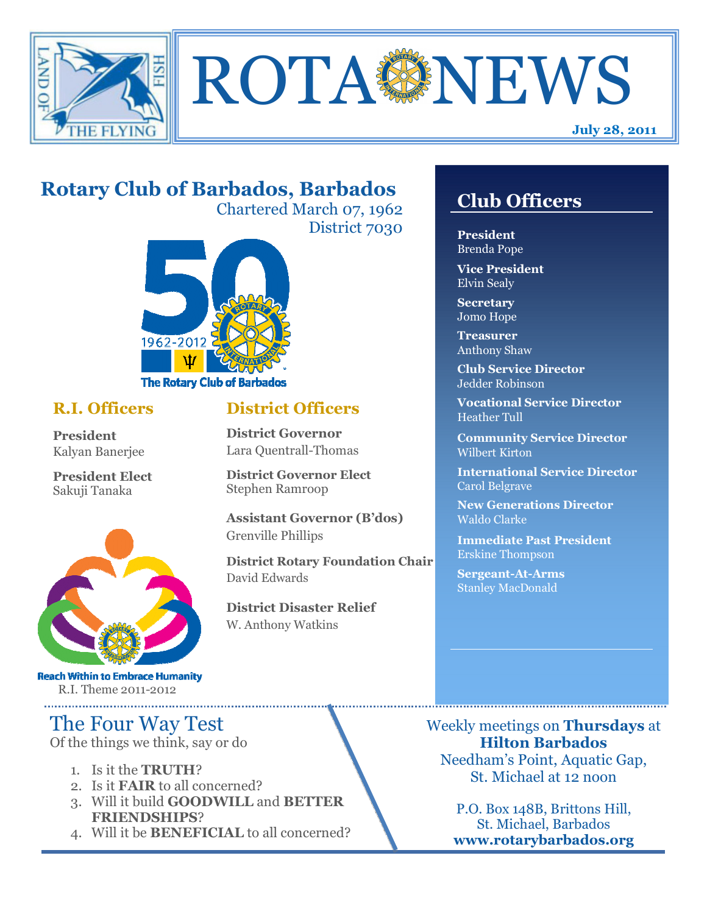

**ROTA SENEWS** 

# **Rotary Club of Barbados, Barbados**

Chartered March 07, 1962 District 7030



## **R.I. Officers**

**President**  Kalyan Banerjee

**President Elect**  Sakuji Tanaka



**Reach Within to Embrace Humanity** R.I. Theme 2011-2012

# The Four Way Test

Of the things we think, say or do

- 1. Is it the **TRUTH**?
- 2. Is it **FAIR** to all concerned?
- 3. Will it build **GOODWILL** and **BETTER FRIENDSHIPS**?
- 4. Will it be **BENEFICIAL** to all concerned?

## **Club Officers**

**Club Officers**

**President**  Brenda Pope

**Vice President**  Elvin Sealy

**Secretary**  Jomo Hope

**Treasurer**  Anthony Shaw

**Club Service Director**  Jedder Robinson

**Vocational Service Director**  Heather Tull

**Community Service Director**  Wilbert Kirton

**International Service Director**  Carol Belgrave

**New Generations Director**  Waldo Clarke

**Immediate Past President**  Erskine Thompson

**Sergeant-At-Arms**  Stanley MacDonald

Weekly meetings on **Thursdays** at **Hilton Barbados**  Needham's Point, Aquatic Gap, St. Michael at 12 noon

> P.O. Box 148B, Brittons Hill, St. Michael, Barbados **www.rotarybarbados.org**

## **District Officers**

**District Governor**  Lara Quentrall-Thomas

**District Governor Elect**  Stephen Ramroop

**Assistant Governor (B'dos)**  Grenville Phillips

**District Rotary Foundation Chair**  David Edwards

**District Disaster Relief**  W. Anthony Watkins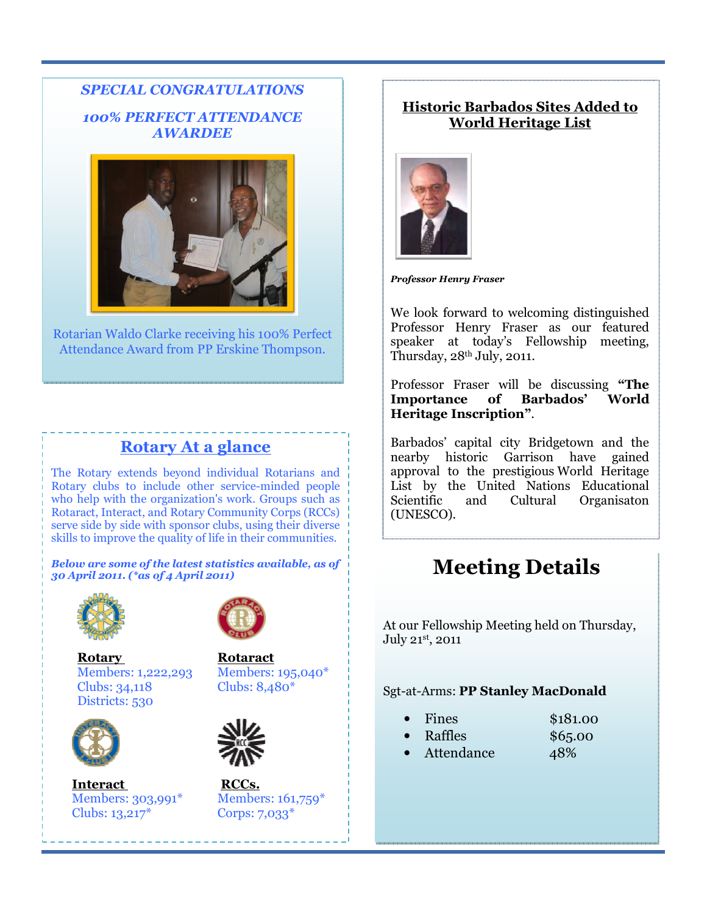### *SPECIAL CONGRATULATIONS 100% PERFECT ATTENDANCE AWARDEE*



Rotarian Waldo Clarke receiving his 100% Perfect Attendance Award from PP Erskine Thompson.

## **Rotary At a glance**

The Rotary extends beyond individual Rotarians and Rotary clubs to include other service-minded people who help with the organization's work. Groups such as Rotaract, Interact, and Rotary Community Corps (RCCs) serve side by side with sponsor clubs, using their diverse skills to improve the quality of life in their communities.

*Below are some of the latest statistics available, as of 30 April 2011. (\*as of 4 April 2011)* 



**Rotary Rotaract**  Members: 1,222,293 Members: 195,040\* Clubs: 34,118 Clubs: 8,480\* Districts: 530



**Interact RCCs.** Members: 303,991\* Members: 161,759\* Clubs: 13,217\* Corps: 7,033\*

------------------------------





#### **Historic Barbados Sites Added to World Heritage List**



*Professor Henry Fraser* 

We look forward to welcoming distinguished Professor Henry Fraser as our featured speaker at today's Fellowship meeting, Thursday,  $28<sup>th</sup>$  July, 2011.

Professor Fraser will be discussing **"The Importance of Barbados' World Heritage Inscription"**.

Barbados' capital city Bridgetown and the nearby historic Garrison have gained approval to the prestigious World Heritage List by the United Nations Educational Scientific and Cultural Organisaton (UNESCO).

# **Meeting Details**

At our Fellowship Meeting held on Thursday, July 21st, 2011

#### Sgt-at-Arms: **PP Stanley MacDonald**

| \$181.00<br>Fines |  |
|-------------------|--|
|-------------------|--|

- Raffles \$65.00
- Attendance 48%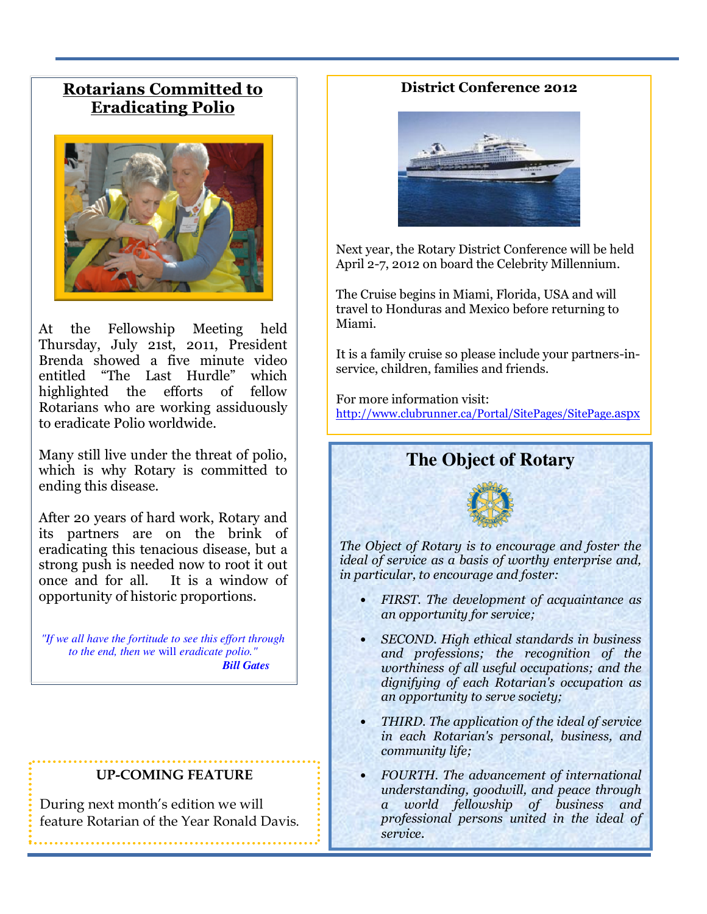## **Rotarians Committed to Eradicating Polio**



At the Fellowship Meeting held Thursday, July 21st, 2011, President Brenda showed a five minute video entitled "The Last Hurdle" which highlighted the efforts of fellow Rotarians who are working assiduously to eradicate Polio worldwide.

Many still live under the threat of polio, which is why Rotary is committed to ending this disease.

After 20 years of hard work, Rotary and its partners are on the brink of eradicating this tenacious disease, but a strong push is needed now to root it out once and for all. It is a window of opportunity of historic proportions.

*"If we all have the fortitude to see this effort through to the end, then we* will *eradicate polio." Bill Gates* 

#### **UP-COMING FEATURE**

During next month's edition we will feature Rotarian of the Year Ronald Davis.

#### **District Conference 2012**



Next year, the Rotary District Conference will be held April 2-7, 2012 on board the Celebrity Millennium.

The Cruise begins in Miami, Florida, USA and will travel to Honduras and Mexico before returning to Miami.

It is a family cruise so please include your partners-inservice, children, families and friends.

For more information visit: http://www.clubrunner.ca/Portal/SitePages/SitePage.aspx

## **The Object of Rotary**



*The Object of Rotary is to encourage and foster the ideal of service as a basis of worthy enterprise and, in particular, to encourage and foster:* 

- *FIRST. The development of acquaintance as an opportunity for service;*
- *SECOND. High ethical standards in business and professions; the recognition of the worthiness of all useful occupations; and the dignifying of each Rotarian's occupation as an opportunity to serve society;*
- *THIRD. The application of the ideal of service in each Rotarian's personal, business, and community life;*
- *FOURTH. The advancement of international understanding, goodwill, and peace through a world fellowship of business and professional persons united in the ideal of service.*